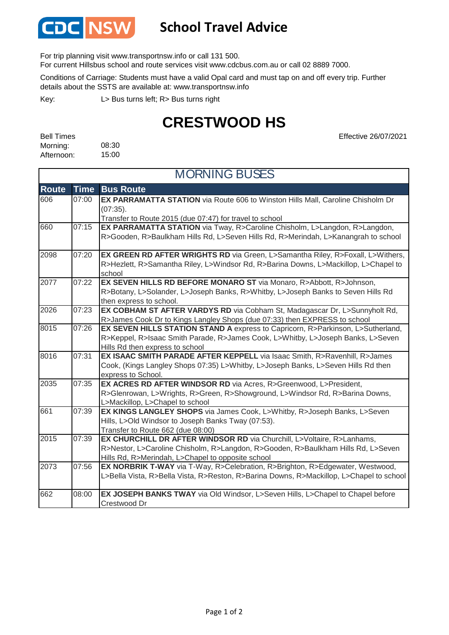

## **School Travel Advice**

For trip planning visit www.transportnsw.info or call 131 500.

For current Hillsbus school and route services visit www.cdcbus.com.au or call 02 8889 7000.

Conditions of Carriage: Students must have a valid Opal card and must tap on and off every trip. Further details about the SSTS are available at: www.transportnsw.info

L> Bus turns left; R> Bus turns right Key:

## **CRESTWOOD HS**

Effective 26/07/2021

| <b>Bell Times</b> |       |
|-------------------|-------|
| Morning:          | 08:30 |
| Afternoon:        | 15:00 |

| <b>MORNING BUSES</b> |             |                                                                                                                                                                                                                 |
|----------------------|-------------|-----------------------------------------------------------------------------------------------------------------------------------------------------------------------------------------------------------------|
| <b>Route</b>         | <b>Time</b> | <b>Bus Route</b>                                                                                                                                                                                                |
| 606                  | 07:00       | EX PARRAMATTA STATION via Route 606 to Winston Hills Mall, Caroline Chisholm Dr<br>(07:35).<br>Transfer to Route 2015 (due 07:47) for travel to school                                                          |
| 660                  | 07:15       | EX PARRAMATTA STATION via Tway, R>Caroline Chisholm, L>Langdon, R>Langdon,<br>R>Gooden, R>Baulkham Hills Rd, L>Seven Hills Rd, R>Merindah, L>Kanangrah to school                                                |
| 2098                 | 07:20       | EX GREEN RD AFTER WRIGHTS RD via Green, L>Samantha Riley, R>Foxall, L>Withers,<br>R>Hezlett, R>Samantha Riley, L>Windsor Rd, R>Barina Downs, L>Mackillop, L>Chapel to<br>school                                 |
| 2077                 | 07:22       | EX SEVEN HILLS RD BEFORE MONARO ST via Monaro, R>Abbott, R>Johnson,<br>R>Botany, L>Solander, L>Joseph Banks, R>Whitby, L>Joseph Banks to Seven Hills Rd<br>then express to school.                              |
| 2026                 | 07:23       | EX COBHAM ST AFTER VARDYS RD via Cobham St, Madagascar Dr, L>Sunnyholt Rd,<br>R>James Cook Dr to Kings Langley Shops (due 07:33) then EXPRESS to school                                                         |
| 8015                 | 07:26       | EX SEVEN HILLS STATION STAND A express to Capricorn, R>Parkinson, L>Sutherland,<br>R>Keppel, R>Isaac Smith Parade, R>James Cook, L>Whitby, L>Joseph Banks, L>Seven<br>Hills Rd then express to school           |
| 8016                 | 07:31       | EX ISAAC SMITH PARADE AFTER KEPPELL via Isaac Smith, R>Ravenhill, R>James<br>Cook, (Kings Langley Shops 07:35) L>Whitby, L>Joseph Banks, L>Seven Hills Rd then<br>express to School.                            |
| 2035                 | 07:35       | EX ACRES RD AFTER WINDSOR RD via Acres, R>Greenwood, L>President,<br>R>Glenrowan, L>Wrights, R>Green, R>Showground, L>Windsor Rd, R>Barina Downs,<br>L>Mackillop, L>Chapel to school                            |
| 661                  | 07:39       | EX KINGS LANGLEY SHOPS via James Cook, L>Whitby, R>Joseph Banks, L>Seven<br>Hills, L>Old Windsor to Joseph Banks Tway (07:53).<br>Transfer to Route 662 (due 08:00)                                             |
| 2015                 | 07:39       | EX CHURCHILL DR AFTER WINDSOR RD via Churchill, L>Voltaire, R>Lanhams,<br>R>Nestor, L>Caroline Chisholm, R>Langdon, R>Gooden, R>Baulkham Hills Rd, L>Seven<br>Hills Rd, R>Merindah, L>Chapel to opposite school |
| 2073                 | 07:56       | EX NORBRIK T-WAY via T-Way, R>Celebration, R>Brighton, R>Edgewater, Westwood,<br>L>Bella Vista, R>Bella Vista, R>Reston, R>Barina Downs, R>Mackillop, L>Chapel to school                                        |
| 662                  | 08:00       | EX JOSEPH BANKS TWAY via Old Windsor, L>Seven Hills, L>Chapel to Chapel before<br>Crestwood Dr                                                                                                                  |